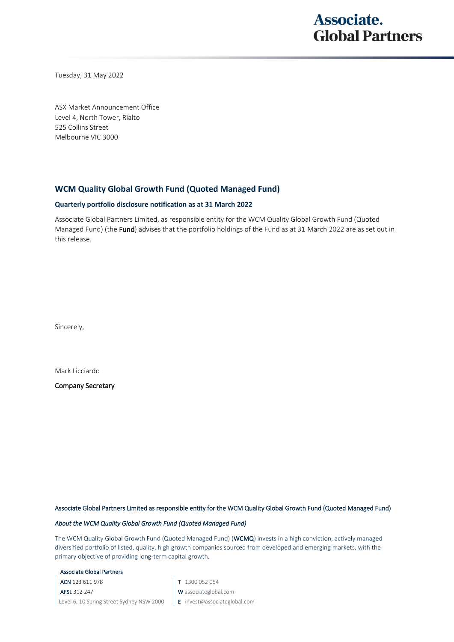## **Associate. Global Partners**

Tuesday, 31 May 2022

ASX Market Announcement Office Level 4, North Tower, Rialto 525 Collins Street Melbourne VIC 3000

### **WCM Quality Global Growth Fund (Quoted Managed Fund)**

#### **Quarterly portfolio disclosure notification as at 31 March 2022**

Associate Global Partners Limited, as responsible entity for the WCM Quality Global Growth Fund (Quoted Managed Fund) (the Fund) advises that the portfolio holdings of the Fund as at 31 March 2022 are as set out in this release.

Sincerely,

Mark Licciardo

Company Secretary

#### Associate Global Partners Limited as responsible entity for the WCM Quality Global Growth Fund (Quoted Managed Fund)

#### *About the WCM Quality Global Growth Fund (Quoted Managed Fund)*

The WCM Quality Global Growth Fund (Quoted Managed Fund) (WCMQ) invests in a high conviction, actively managed diversified portfolio of listed, quality, high growth companies sourced from developed and emerging markets, with the primary objective of providing long-term capital growth.

#### Associate Global Partners

ACN 123 611 978

AFSL 312 247 Level 6, 10 Spring Street Sydney NSW 2000 T 1300 052 054

- W associateglobal.com
- E invest@associateglobal.com